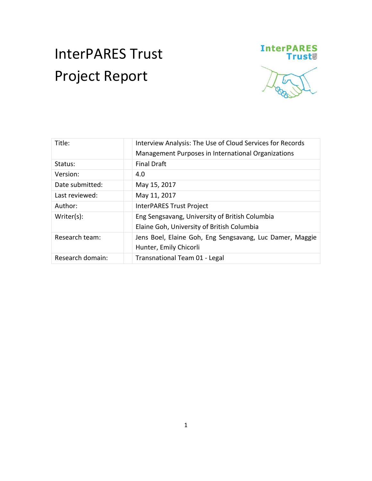# InterPARES Trust Project Report



| Title:           | Interview Analysis: The Use of Cloud Services for Records<br>Management Purposes in International Organizations |
|------------------|-----------------------------------------------------------------------------------------------------------------|
| Status:          | <b>Final Draft</b>                                                                                              |
| Version:         | 4.0                                                                                                             |
| Date submitted:  | May 15, 2017                                                                                                    |
| Last reviewed:   | May 11, 2017                                                                                                    |
| Author:          | <b>InterPARES Trust Project</b>                                                                                 |
| Writer(s):       | Eng Sengsavang, University of British Columbia<br>Elaine Goh, University of British Columbia                    |
| Research team:   | Jens Boel, Elaine Goh, Eng Sengsavang, Luc Damer, Maggie<br>Hunter, Emily Chicorli                              |
| Research domain: | Transnational Team 01 - Legal                                                                                   |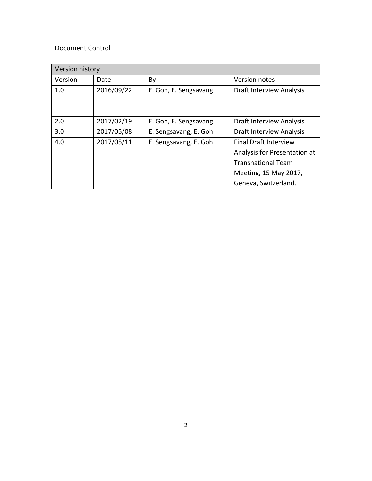## Document Control

| Version history |            |                       |                                 |  |  |
|-----------------|------------|-----------------------|---------------------------------|--|--|
| Version         | Date       | By                    | Version notes                   |  |  |
| 1.0             | 2016/09/22 | E. Goh, E. Sengsavang | <b>Draft Interview Analysis</b> |  |  |
|                 |            |                       |                                 |  |  |
|                 |            |                       |                                 |  |  |
| 2.0             | 2017/02/19 | E. Goh, E. Sengsavang | <b>Draft Interview Analysis</b> |  |  |
| 3.0             | 2017/05/08 | E. Sengsavang, E. Goh | Draft Interview Analysis        |  |  |
| 4.0             | 2017/05/11 | E. Sengsavang, E. Goh | <b>Final Draft Interview</b>    |  |  |
|                 |            |                       | Analysis for Presentation at    |  |  |
|                 |            |                       | <b>Transnational Team</b>       |  |  |
|                 |            |                       | Meeting, 15 May 2017,           |  |  |
|                 |            |                       | Geneva, Switzerland.            |  |  |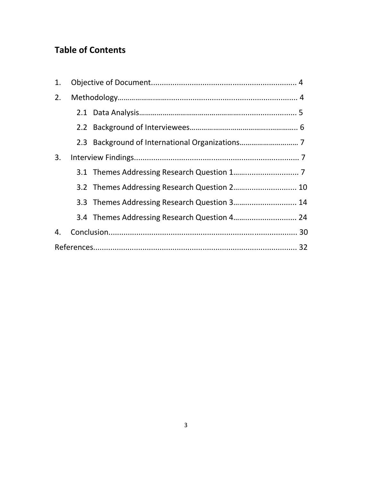# **Table of Contents**

| 1. |  |                                              |  |
|----|--|----------------------------------------------|--|
| 2. |  |                                              |  |
|    |  |                                              |  |
|    |  |                                              |  |
|    |  |                                              |  |
| 3. |  |                                              |  |
|    |  |                                              |  |
|    |  | 3.2 Themes Addressing Research Question 2 10 |  |
|    |  | 3.3 Themes Addressing Research Question 3 14 |  |
|    |  | 3.4 Themes Addressing Research Question 4 24 |  |
| 4. |  |                                              |  |
|    |  |                                              |  |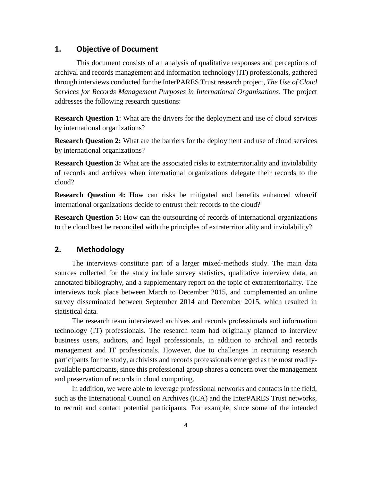## **1. Objective of Document**

This document consists of an analysis of qualitative responses and perceptions of archival and records management and information technology (IT) professionals, gathered through interviews conducted for the InterPARES Trust research project, *The Use of Cloud Services for Records Management Purposes in International Organizations*. The project addresses the following research questions:

**Research Question 1:** What are the drivers for the deployment and use of cloud services by international organizations?

**Research Question 2:** What are the barriers for the deployment and use of cloud services by international organizations?

**Research Question 3:** What are the associated risks to extraterritoriality and inviolability of records and archives when international organizations delegate their records to the cloud?

**Research Question 4:** How can risks be mitigated and benefits enhanced when/if international organizations decide to entrust their records to the cloud?

**Research Question 5:** How can the outsourcing of records of international organizations to the cloud best be reconciled with the principles of extraterritoriality and inviolability?

## **2. Methodology**

The interviews constitute part of a larger mixed-methods study. The main data sources collected for the study include survey statistics, qualitative interview data, an annotated bibliography, and a supplementary report on the topic of extraterritoriality. The interviews took place between March to December 2015, and complemented an online survey disseminated between September 2014 and December 2015, which resulted in statistical data.

The research team interviewed archives and records professionals and information technology (IT) professionals. The research team had originally planned to interview business users, auditors, and legal professionals, in addition to archival and records management and IT professionals. However, due to challenges in recruiting research participants for the study, archivists and records professionals emerged as the most readilyavailable participants, since this professional group shares a concern over the management and preservation of records in cloud computing.

In addition, we were able to leverage professional networks and contacts in the field, such as the International Council on Archives (ICA) and the InterPARES Trust networks, to recruit and contact potential participants. For example, since some of the intended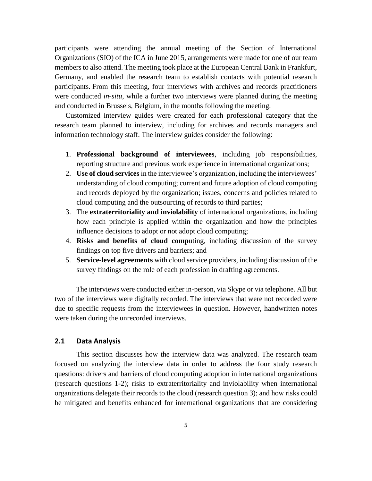participants were attending the annual meeting of the Section of International Organizations (SIO) of the ICA in June 2015, arrangements were made for one of our team members to also attend. The meeting took place at the European Central Bank in Frankfurt, Germany, and enabled the research team to establish contacts with potential research participants. From this meeting, four interviews with archives and records practitioners were conducted *in-situ*, while a further two interviews were planned during the meeting and conducted in Brussels, Belgium, in the months following the meeting.

Customized interview guides were created for each professional category that the research team planned to interview, including for archives and records managers and information technology staff. The interview guides consider the following:

- 1. **Professional background of interviewees**, including job responsibilities, reporting structure and previous work experience in international organizations;
- 2. **Use of cloud services** in the interviewee's organization, including the interviewees' understanding of cloud computing; current and future adoption of cloud computing and records deployed by the organization; issues, concerns and policies related to cloud computing and the outsourcing of records to third parties;
- 3. The **extraterritoriality and inviolability** of international organizations, including how each principle is applied within the organization and how the principles influence decisions to adopt or not adopt cloud computing;
- 4. **Risks and benefits of cloud comp**uting, including discussion of the survey findings on top five drivers and barriers; and
- 5. **Service-level agreements** with cloud service providers, including discussion of the survey findings on the role of each profession in drafting agreements.

The interviews were conducted either in-person, via Skype or via telephone. All but two of the interviews were digitally recorded. The interviews that were not recorded were due to specific requests from the interviewees in question. However, handwritten notes were taken during the unrecorded interviews.

## **2.1 Data Analysis**

This section discusses how the interview data was analyzed. The research team focused on analyzing the interview data in order to address the four study research questions: drivers and barriers of cloud computing adoption in international organizations (research questions 1-2); risks to extraterritoriality and inviolability when international organizations delegate their records to the cloud (research question 3); and how risks could be mitigated and benefits enhanced for international organizations that are considering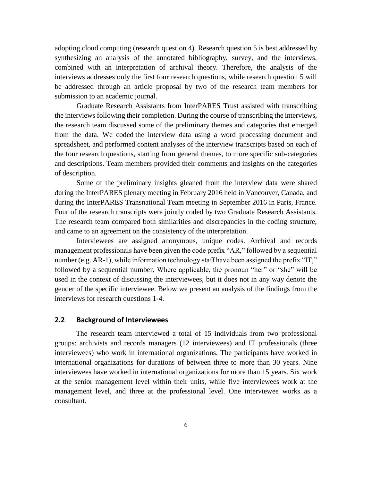adopting cloud computing (research question 4). Research question 5 is best addressed by synthesizing an analysis of the annotated bibliography, survey, and the interviews, combined with an interpretation of archival theory. Therefore, the analysis of the interviews addresses only the first four research questions, while research question 5 will be addressed through an article proposal by two of the research team members for submission to an academic journal.

Graduate Research Assistants from InterPARES Trust assisted with transcribing the interviews following their completion. During the course of transcribing the interviews, the research team discussed some of the preliminary themes and categories that emerged from the data. We coded the interview data using a word processing document and spreadsheet, and performed content analyses of the interview transcripts based on each of the four research questions, starting from general themes, to more specific sub-categories and descriptions. Team members provided their comments and insights on the categories of description.

Some of the preliminary insights gleaned from the interview data were shared during the InterPARES plenary meeting in February 2016 held in Vancouver, Canada, and during the InterPARES Transnational Team meeting in September 2016 in Paris, France. Four of the research transcripts were jointly coded by two Graduate Research Assistants. The research team compared both similarities and discrepancies in the coding structure, and came to an agreement on the consistency of the interpretation.

Interviewees are assigned anonymous, unique codes. Archival and records management professionals have been given the code prefix "AR," followed by a sequential number (e.g. AR-1), while information technology staff have been assigned the prefix "IT," followed by a sequential number. Where applicable, the pronoun "her" or "she" will be used in the context of discussing the interviewees, but it does not in any way denote the gender of the specific interviewee. Below we present an analysis of the findings from the interviews for research questions 1-4.

#### **2.2 Background of Interviewees**

The research team interviewed a total of 15 individuals from two professional groups: archivists and records managers (12 interviewees) and IT professionals (three interviewees) who work in international organizations. The participants have worked in international organizations for durations of between three to more than 30 years. Nine interviewees have worked in international organizations for more than 15 years. Six work at the senior management level within their units, while five interviewees work at the management level, and three at the professional level. One interviewee works as a consultant.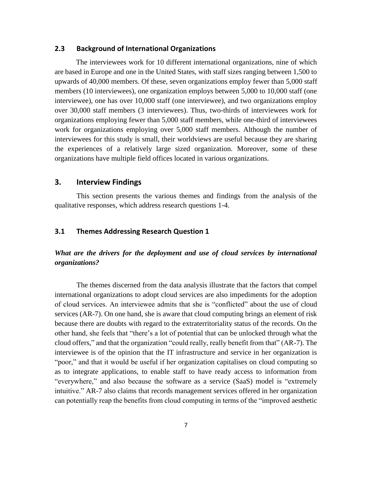#### **2.3 Background of International Organizations**

The interviewees work for 10 different international organizations, nine of which are based in Europe and one in the United States, with staff sizes ranging between 1,500 to upwards of 40,000 members. Of these, seven organizations employ fewer than 5,000 staff members (10 interviewees), one organization employs between 5,000 to 10,000 staff (one interviewee), one has over 10,000 staff (one interviewee), and two organizations employ over 30,000 staff members (3 interviewees). Thus, two-thirds of interviewees work for organizations employing fewer than 5,000 staff members, while one-third of interviewees work for organizations employing over 5,000 staff members. Although the number of interviewees for this study is small, their worldviews are useful because they are sharing the experiences of a relatively large sized organization. Moreover, some of these organizations have multiple field offices located in various organizations.

## **3. Interview Findings**

This section presents the various themes and findings from the analysis of the qualitative responses, which address research questions 1-4.

## **3.1 Themes Addressing Research Question 1**

## *What are the drivers for the deployment and use of cloud services by international organizations?*

The themes discerned from the data analysis illustrate that the factors that compel international organizations to adopt cloud services are also impediments for the adoption of cloud services. An interviewee admits that she is "conflicted" about the use of cloud services (AR-7). On one hand, she is aware that cloud computing brings an element of risk because there are doubts with regard to the extraterritoriality status of the records. On the other hand, she feels that "there's a lot of potential that can be unlocked through what the cloud offers," and that the organization "could really, really benefit from that" (AR-7). The interviewee is of the opinion that the IT infrastructure and service in her organization is "poor," and that it would be useful if her organization capitalises on cloud computing so as to integrate applications, to enable staff to have ready access to information from "everywhere," and also because the software as a service (SaaS) model is "extremely intuitive." AR-7 also claims that records management services offered in her organization can potentially reap the benefits from cloud computing in terms of the "improved aesthetic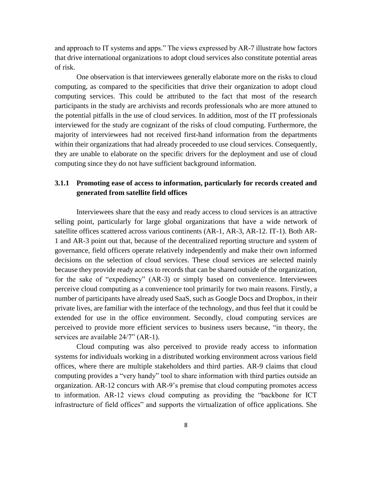and approach to IT systems and apps." The views expressed by AR-7 illustrate how factors that drive international organizations to adopt cloud services also constitute potential areas of risk.

One observation is that interviewees generally elaborate more on the risks to cloud computing, as compared to the specificities that drive their organization to adopt cloud computing services. This could be attributed to the fact that most of the research participants in the study are archivists and records professionals who are more attuned to the potential pitfalls in the use of cloud services. In addition, most of the IT professionals interviewed for the study are cognizant of the risks of cloud computing. Furthermore, the majority of interviewees had not received first-hand information from the departments within their organizations that had already proceeded to use cloud services. Consequently, they are unable to elaborate on the specific drivers for the deployment and use of cloud computing since they do not have sufficient background information.

## **3.1.1 Promoting ease of access to information, particularly for records created and generated from satellite field offices**

Interviewees share that the easy and ready access to cloud services is an attractive selling point, particularly for large global organizations that have a wide network of satellite offices scattered across various continents (AR-1, AR-3, AR-12. IT-1). Both AR-1 and AR-3 point out that, because of the decentralized reporting structure and system of governance, field officers operate relatively independently and make their own informed decisions on the selection of cloud services. These cloud services are selected mainly because they provide ready access to records that can be shared outside of the organization, for the sake of "expediency" (AR-3) or simply based on convenience. Interviewees perceive cloud computing as a convenience tool primarily for two main reasons. Firstly, a number of participants have already used SaaS, such as Google Docs and Dropbox, in their private lives, are familiar with the interface of the technology, and thus feel that it could be extended for use in the office environment. Secondly, cloud computing services are perceived to provide more efficient services to business users because, "in theory, the services are available  $24/7$ " (AR-1).

Cloud computing was also perceived to provide ready access to information systems for individuals working in a distributed working environment across various field offices, where there are multiple stakeholders and third parties. AR-9 claims that cloud computing provides a "very handy" tool to share information with third parties outside an organization. AR-12 concurs with AR-9's premise that cloud computing promotes access to information. AR-12 views cloud computing as providing the "backbone for ICT infrastructure of field offices" and supports the virtualization of office applications. She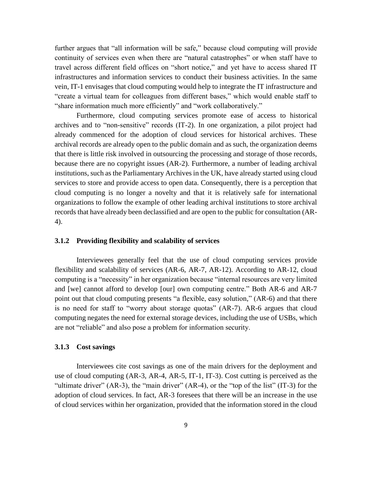further argues that "all information will be safe," because cloud computing will provide continuity of services even when there are "natural catastrophes" or when staff have to travel across different field offices on "short notice," and yet have to access shared IT infrastructures and information services to conduct their business activities. In the same vein, IT-1 envisages that cloud computing would help to integrate the IT infrastructure and "create a virtual team for colleagues from different bases," which would enable staff to "share information much more efficiently" and "work collaboratively."

Furthermore, cloud computing services promote ease of access to historical archives and to "non-sensitive" records (IT-2). In one organization, a pilot project had already commenced for the adoption of cloud services for historical archives. These archival records are already open to the public domain and as such, the organization deems that there is little risk involved in outsourcing the processing and storage of those records, because there are no copyright issues (AR-2). Furthermore, a number of leading archival institutions, such as the Parliamentary Archives in the UK, have already started using cloud services to store and provide access to open data. Consequently, there is a perception that cloud computing is no longer a novelty and that it is relatively safe for international organizations to follow the example of other leading archival institutions to store archival records that have already been declassified and are open to the public for consultation (AR-4).

## **3.1.2 Providing flexibility and scalability of services**

Interviewees generally feel that the use of cloud computing services provide flexibility and scalability of services (AR-6, AR-7, AR-12). According to AR-12, cloud computing is a "necessity" in her organization because "internal resources are very limited and [we] cannot afford to develop [our] own computing centre." Both AR-6 and AR-7 point out that cloud computing presents "a flexible, easy solution," (AR-6) and that there is no need for staff to "worry about storage quotas" (AR-7). AR-6 argues that cloud computing negates the need for external storage devices, including the use of USBs, which are not "reliable" and also pose a problem for information security.

## **3.1.3 Cost savings**

Interviewees cite cost savings as one of the main drivers for the deployment and use of cloud computing (AR-3, AR-4, AR-5, IT-1, IT-3). Cost cutting is perceived as the "ultimate driver" (AR-3), the "main driver" (AR-4), or the "top of the list" (IT-3) for the adoption of cloud services. In fact, AR-3 foresees that there will be an increase in the use of cloud services within her organization, provided that the information stored in the cloud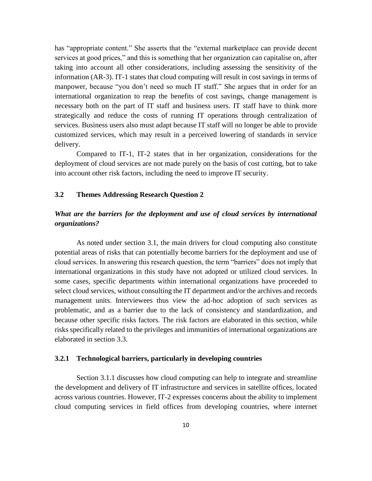has "appropriate content." She asserts that the "external marketplace can provide decent services at good prices," and this is something that her organization can capitalise on, after taking into account all other considerations, including assessing the sensitivity of the information (AR-3). IT-1 states that cloud computing will result in cost savings in terms of manpower, because "you don't need so much IT staff." She argues that in order for an international organization to reap the benefits of cost savings, change management is necessary both on the part of IT staff and business users. IT staff have to think more strategically and reduce the costs of running IT operations through centralization of services. Business users also must adapt because IT staff will no longer be able to provide customized services, which may result in a perceived lowering of standards in service delivery.

Compared to IT-1, IT-2 states that in her organization, considerations for the deployment of cloud services are not made purely on the basis of cost cutting, but to take into account other risk factors, including the need to improve IT security.

## **3.2 Themes Addressing Research Question 2**

## *What are the barriers for the deployment and use of cloud services by international organizations?*

As noted under section 3.1, the main drivers for cloud computing also constitute potential areas of risks that can potentially become barriers for the deployment and use of cloud services. In answering this research question, the term "barriers" does not imply that international organizations in this study have not adopted or utilized cloud services. In some cases, specific departments within international organizations have proceeded to select cloud services, without consulting the IT department and/or the archives and records management units. Interviewees thus view the ad-hoc adoption of such services as problematic, and as a barrier due to the lack of consistency and standardization, and because other specific risks factors. The risk factors are elaborated in this section, while risks specifically related to the privileges and immunities of international organizations are elaborated in section 3.3.

## **3.2.1 Technological barriers, particularly in developing countries**

Section 3.1.1 discusses how cloud computing can help to integrate and streamline the development and delivery of IT infrastructure and services in satellite offices, located across various countries. However, IT-2 expresses concerns about the ability to implement cloud computing services in field offices from developing countries, where internet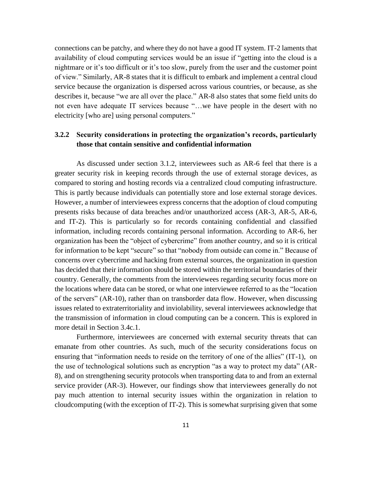connections can be patchy, and where they do not have a good IT system. IT-2 laments that availability of cloud computing services would be an issue if "getting into the cloud is a nightmare or it's too difficult or it's too slow, purely from the user and the customer point of view." Similarly, AR-8 states that it is difficult to embark and implement a central cloud service because the organization is dispersed across various countries, or because, as she describes it, because "we are all over the place." AR-8 also states that some field units do not even have adequate IT services because "…we have people in the desert with no electricity [who are] using personal computers."

## **3.2.2 Security considerations in protecting the organization's records, particularly those that contain sensitive and confidential information**

As discussed under section 3.1.2, interviewees such as AR-6 feel that there is a greater security risk in keeping records through the use of external storage devices, as compared to storing and hosting records via a centralized cloud computing infrastructure. This is partly because individuals can potentially store and lose external storage devices. However, a number of interviewees express concerns that the adoption of cloud computing presents risks because of data breaches and/or unauthorized access (AR-3, AR-5, AR-6, and IT-2). This is particularly so for records containing confidential and classified information, including records containing personal information. According to AR-6, her organization has been the "object of cybercrime" from another country, and so it is critical for information to be kept "secure" so that "nobody from outside can come in." Because of concerns over cybercrime and hacking from external sources, the organization in question has decided that their information should be stored within the territorial boundaries of their country. Generally, the comments from the interviewees regarding security focus more on the locations where data can be stored, or what one interviewee referred to as the "location of the servers" (AR-10), rather than on transborder data flow. However, when discussing issues related to extraterritoriality and inviolability, several interviewees acknowledge that the transmission of information in cloud computing can be a concern. This is explored in more detail in Section 3.4c.1.

Furthermore, interviewees are concerned with external security threats that can emanate from other countries. As such, much of the security considerations focus on ensuring that "information needs to reside on the territory of one of the allies" (IT-1), on the use of technological solutions such as encryption "as a way to protect my data" (AR-8), and on strengthening security protocols when transporting data to and from an external service provider (AR-3). However, our findings show that interviewees generally do not pay much attention to internal security issues within the organization in relation to cloudcomputing (with the exception of IT-2). This is somewhat surprising given that some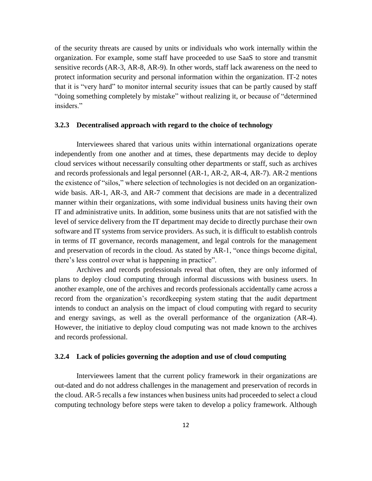of the security threats are caused by units or individuals who work internally within the organization. For example, some staff have proceeded to use SaaS to store and transmit sensitive records (AR-3, AR-8, AR-9). In other words, staff lack awareness on the need to protect information security and personal information within the organization. IT-2 notes that it is "very hard" to monitor internal security issues that can be partly caused by staff "doing something completely by mistake" without realizing it, or because of "determined insiders."

## **3.2.3 Decentralised approach with regard to the choice of technology**

Interviewees shared that various units within international organizations operate independently from one another and at times, these departments may decide to deploy cloud services without necessarily consulting other departments or staff, such as archives and records professionals and legal personnel (AR-1, AR-2, AR-4, AR-7). AR-2 mentions the existence of "silos," where selection of technologies is not decided on an organizationwide basis. AR-1, AR-3, and AR-7 comment that decisions are made in a decentralized manner within their organizations, with some individual business units having their own IT and administrative units. In addition, some business units that are not satisfied with the level of service delivery from the IT department may decide to directly purchase their own software and IT systems from service providers. As such, it is difficult to establish controls in terms of IT governance, records management, and legal controls for the management and preservation of records in the cloud. As stated by AR-1, "once things become digital, there's less control over what is happening in practice".

Archives and records professionals reveal that often, they are only informed of plans to deploy cloud computing through informal discussions with business users. In another example, one of the archives and records professionals accidentally came across a record from the organization's recordkeeping system stating that the audit department intends to conduct an analysis on the impact of cloud computing with regard to security and energy savings, as well as the overall performance of the organization (AR-4). However, the initiative to deploy cloud computing was not made known to the archives and records professional.

## **3.2.4 Lack of policies governing the adoption and use of cloud computing**

Interviewees lament that the current policy framework in their organizations are out-dated and do not address challenges in the management and preservation of records in the cloud. AR-5 recalls a few instances when business units had proceeded to select a cloud computing technology before steps were taken to develop a policy framework. Although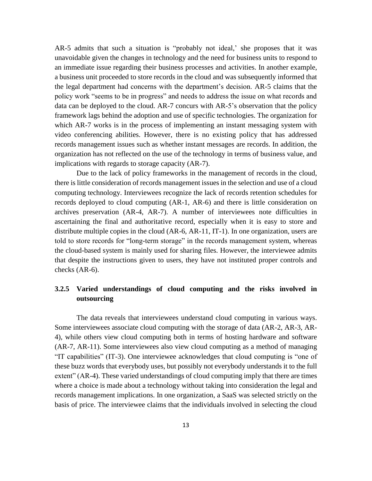AR-5 admits that such a situation is "probably not ideal,' she proposes that it was unavoidable given the changes in technology and the need for business units to respond to an immediate issue regarding their business processes and activities. In another example, a business unit proceeded to store records in the cloud and was subsequently informed that the legal department had concerns with the department's decision. AR-5 claims that the policy work "seems to be in progress" and needs to address the issue on what records and data can be deployed to the cloud. AR-7 concurs with AR-5's observation that the policy framework lags behind the adoption and use of specific technologies. The organization for which AR-7 works is in the process of implementing an instant messaging system with video conferencing abilities. However, there is no existing policy that has addressed records management issues such as whether instant messages are records. In addition, the organization has not reflected on the use of the technology in terms of business value, and implications with regards to storage capacity (AR-7).

Due to the lack of policy frameworks in the management of records in the cloud, there is little consideration of records management issues in the selection and use of a cloud computing technology. Interviewees recognize the lack of records retention schedules for records deployed to cloud computing (AR-1, AR-6) and there is little consideration on archives preservation (AR-4, AR-7). A number of interviewees note difficulties in ascertaining the final and authoritative record, especially when it is easy to store and distribute multiple copies in the cloud (AR-6, AR-11, IT-1). In one organization, users are told to store records for "long-term storage" in the records management system, whereas the cloud-based system is mainly used for sharing files. However, the interviewee admits that despite the instructions given to users, they have not instituted proper controls and checks (AR-6).

## **3.2.5 Varied understandings of cloud computing and the risks involved in outsourcing**

The data reveals that interviewees understand cloud computing in various ways. Some interviewees associate cloud computing with the storage of data (AR-2, AR-3, AR-4), while others view cloud computing both in terms of hosting hardware and software (AR-7, AR-11). Some interviewees also view cloud computing as a method of managing "IT capabilities" (IT-3). One interviewee acknowledges that cloud computing is "one of these buzz words that everybody uses, but possibly not everybody understands it to the full extent" (AR-4). These varied understandings of cloud computing imply that there are times where a choice is made about a technology without taking into consideration the legal and records management implications. In one organization, a SaaS was selected strictly on the basis of price. The interviewee claims that the individuals involved in selecting the cloud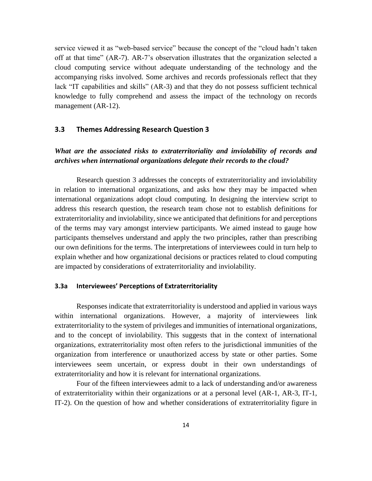service viewed it as "web-based service" because the concept of the "cloud hadn't taken off at that time" (AR-7). AR-7's observation illustrates that the organization selected a cloud computing service without adequate understanding of the technology and the accompanying risks involved. Some archives and records professionals reflect that they lack "IT capabilities and skills" (AR-3) and that they do not possess sufficient technical knowledge to fully comprehend and assess the impact of the technology on records management (AR-12).

## **3.3 Themes Addressing Research Question 3**

## *What are the associated risks to extraterritoriality and inviolability of records and archives when international organizations delegate their records to the cloud?*

Research question 3 addresses the concepts of extraterritoriality and inviolability in relation to international organizations, and asks how they may be impacted when international organizations adopt cloud computing. In designing the interview script to address this research question, the research team chose not to establish definitions for extraterritoriality and inviolability, since we anticipated that definitions for and perceptions of the terms may vary amongst interview participants. We aimed instead to gauge how participants themselves understand and apply the two principles, rather than prescribing our own definitions for the terms. The interpretations of interviewees could in turn help to explain whether and how organizational decisions or practices related to cloud computing are impacted by considerations of extraterritoriality and inviolability.

## **3.3a Interviewees' Perceptions of Extraterritoriality**

Responses indicate that extraterritoriality is understood and applied in various ways within international organizations. However, a majority of interviewees link extraterritoriality to the system of privileges and immunities of international organizations, and to the concept of inviolability. This suggests that in the context of international organizations, extraterritoriality most often refers to the jurisdictional immunities of the organization from interference or unauthorized access by state or other parties. Some interviewees seem uncertain, or express doubt in their own understandings of extraterritoriality and how it is relevant for international organizations.

Four of the fifteen interviewees admit to a lack of understanding and/or awareness of extraterritoriality within their organizations or at a personal level (AR-1, AR-3, IT-1, IT-2). On the question of how and whether considerations of extraterritoriality figure in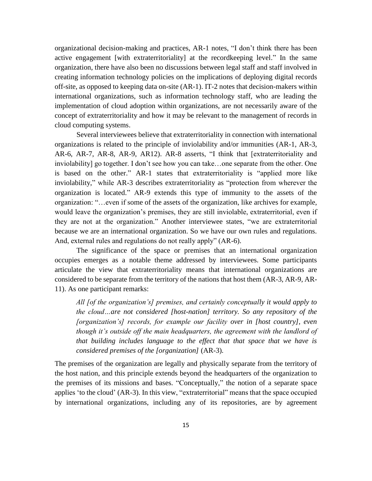organizational decision-making and practices, AR-1 notes, "I don't think there has been active engagement [with extraterritoriality] at the recordkeeping level." In the same organization, there have also been no discussions between legal staff and staff involved in creating information technology policies on the implications of deploying digital records off-site, as opposed to keeping data on-site (AR-1). IT-2 notes that decision-makers within international organizations, such as information technology staff, who are leading the implementation of cloud adoption within organizations, are not necessarily aware of the concept of extraterritoriality and how it may be relevant to the management of records in cloud computing systems.

Several interviewees believe that extraterritoriality in connection with international organizations is related to the principle of inviolability and/or immunities (AR-1, AR-3, AR-6, AR-7, AR-8, AR-9, AR12). AR-8 asserts, "I think that [extraterritoriality and inviolability] go together. I don't see how you can take…one separate from the other. One is based on the other." AR-1 states that extraterritoriality is "applied more like inviolability," while AR-3 describes extraterritoriality as "protection from wherever the organization is located." AR-9 extends this type of immunity to the assets of the organization: "…even if some of the assets of the organization, like archives for example, would leave the organization's premises, they are still inviolable, extraterritorial, even if they are not at the organization." Another interviewee states, "we are extraterritorial because we are an international organization. So we have our own rules and regulations. And, external rules and regulations do not really apply" (AR-6).

The significance of the space or premises that an international organization occupies emerges as a notable theme addressed by interviewees. Some participants articulate the view that extraterritoriality means that international organizations are considered to be separate from the territory of the nations that host them (AR-3, AR-9, AR-11). As one participant remarks:

*All [of the organization's] premises, and certainly conceptually it would apply to the cloud…are not considered [host-nation] territory. So any repository of the [organization's] records, for example our facility over in [host country], even though it's outside off the main headquarters, the agreement with the landlord of that building includes language to the effect that that space that we have is considered premises of the [organization]* (AR-3).

The premises of the organization are legally and physically separate from the territory of the host nation, and this principle extends beyond the headquarters of the organization to the premises of its missions and bases. "Conceptually," the notion of a separate space applies 'to the cloud' (AR-3). In this view, "extraterritorial" means that the space occupied by international organizations, including any of its repositories, are by agreement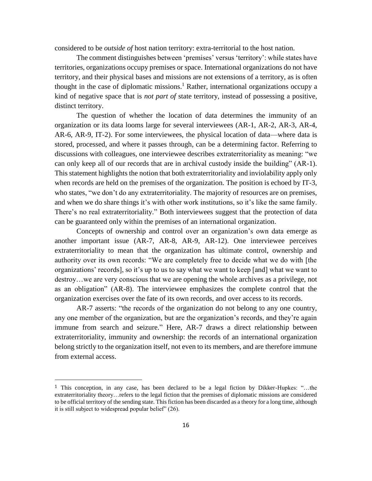considered to be *outside of* host nation territory: extra-territorial to the host nation.

The comment distinguishes between 'premises' versus 'territory': while states have territories, organizations occupy premises or space. International organizations do not have territory, and their physical bases and missions are not extensions of a territory, as is often thought in the case of diplomatic missions. <sup>1</sup> Rather, international organizations occupy a kind of negative space that is *not part of* state territory, instead of possessing a positive, distinct territory.

The question of whether the location of data determines the immunity of an organization or its data looms large for several interviewees (AR-1, AR-2, AR-3, AR-4, AR-6, AR-9, IT-2). For some interviewees, the physical location of data—where data is stored, processed, and where it passes through, can be a determining factor. Referring to discussions with colleagues, one interviewee describes extraterritoriality as meaning: "we can only keep all of our records that are in archival custody inside the building" (AR-1). This statement highlights the notion that both extraterritoriality and inviolability apply only when records are held on the premises of the organization. The position is echoed by IT-3, who states, "we don't do any extraterritoriality. The majority of resources are on premises, and when we do share things it's with other work institutions, so it's like the same family. There's no real extraterritoriality." Both interviewees suggest that the protection of data can be guaranteed only within the premises of an international organization.

Concepts of ownership and control over an organization's own data emerge as another important issue (AR-7, AR-8, AR-9, AR-12). One interviewee perceives extraterritoriality to mean that the organization has ultimate control, ownership and authority over its own records: "We are completely free to decide what we do with [the organizations' records], so it's up to us to say what we want to keep [and] what we want to destroy…we are very conscious that we are opening the whole archives as a privilege, not as an obligation" (AR-8). The interviewee emphasizes the complete control that the organization exercises over the fate of its own records, and over access to its records.

AR-7 asserts: "the records of the organization do not belong to any one country, any one member of the organization, but are the organization's records, and they're again immune from search and seizure." Here, AR-7 draws a direct relationship between extraterritoriality, immunity and ownership: the records of an international organization belong strictly to the organization itself, not even to its members, and are therefore immune from external access.

 $\overline{a}$ 

<sup>1</sup> This conception, in any case, has been declared to be a legal fiction by Dikker-Hupkes: "…the extraterritoriality theory…refers to the legal fiction that the premises of diplomatic missions are considered to be official territory of the sending state. This fiction has been discarded as a theory for a long time, although it is still subject to widespread popular belief" (26).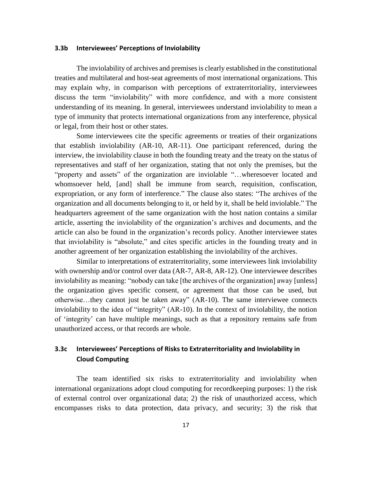#### **3.3b Interviewees' Perceptions of Inviolability**

The inviolability of archives and premises is clearly established in the constitutional treaties and multilateral and host-seat agreements of most international organizations. This may explain why, in comparison with perceptions of extraterritoriality, interviewees discuss the term "inviolability" with more confidence, and with a more consistent understanding of its meaning. In general, interviewees understand inviolability to mean a type of immunity that protects international organizations from any interference, physical or legal, from their host or other states.

Some interviewees cite the specific agreements or treaties of their organizations that establish inviolability (AR-10, AR-11). One participant referenced, during the interview, the inviolability clause in both the founding treaty and the treaty on the status of representatives and staff of her organization, stating that not only the premises, but the "property and assets" of the organization are inviolable "…wheresoever located and whomsoever held, [and] shall be immune from search, requisition, confiscation, expropriation, or any form of interference." The clause also states: "The archives of the organization and all documents belonging to it, or held by it, shall be held inviolable." The headquarters agreement of the same organization with the host nation contains a similar article, asserting the inviolability of the organization's archives and documents, and the article can also be found in the organization's records policy. Another interviewee states that inviolability is "absolute," and cites specific articles in the founding treaty and in another agreement of her organization establishing the inviolability of the archives.

Similar to interpretations of extraterritoriality, some interviewees link inviolability with ownership and/or control over data (AR-7, AR-8, AR-12). One interviewee describes inviolability as meaning: "nobody can take [the archives of the organization] away [unless] the organization gives specific consent, or agreement that those can be used, but otherwise…they cannot just be taken away" (AR-10). The same interviewee connects inviolability to the idea of "integrity" (AR-10). In the context of inviolability, the notion of 'integrity' can have multiple meanings, such as that a repository remains safe from unauthorized access, or that records are whole.

## **3.3c Interviewees' Perceptions of Risks to Extraterritoriality and Inviolability in Cloud Computing**

The team identified six risks to extraterritoriality and inviolability when international organizations adopt cloud computing for recordkeeping purposes: 1) the risk of external control over organizational data; 2) the risk of unauthorized access, which encompasses risks to data protection, data privacy, and security; 3) the risk that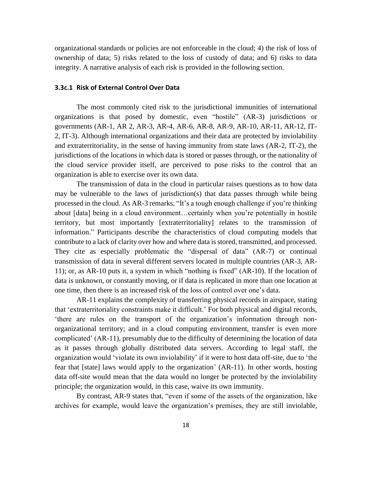organizational standards or policies are not enforceable in the cloud; 4) the risk of loss of ownership of data; 5) risks related to the loss of custody of data; and 6) risks to data integrity. A narrative analysis of each risk is provided in the following section.

#### **3.3c.1 Risk of External Control Over Data**

The most commonly cited risk to the jurisdictional immunities of international organizations is that posed by domestic, even "hostile" (AR-3) jurisdictions or governments (AR-1, AR 2, AR-3, AR-4, AR-6, AR-8, AR-9, AR-10, AR-11, AR-12, IT-2, IT-3). Although international organizations and their data are protected by inviolability and extraterritoriality, in the sense of having immunity from state laws (AR-2, IT-2), the jurisdictions of the locations in which data is stored or passes through, or the nationality of the cloud service provider itself, are perceived to pose risks to the control that an organization is able to exercise over its own data.

The transmission of data in the cloud in particular raises questions as to how data may be vulnerable to the laws of jurisdiction(s) that data passes through while being processed in the cloud. As AR-3 remarks, "It's a tough enough challenge if you're thinking about [data] being in a cloud environment…certainly when you're potentially in hostile territory, but most importantly [extraterritoriality] relates to the transmission of information." Participants describe the characteristics of cloud computing models that contribute to a lack of clarity over how and where data is stored, transmitted, and processed. They cite as especially problematic the "dispersal of data" (AR-7) or continual transmission of data in several different servers located in multiple countries (AR-3, AR-11); or, as AR-10 puts it, a system in which "nothing is fixed" (AR-10). If the location of data is unknown, or constantly moving, or if data is replicated in more than one location at one time, then there is an increased risk of the loss of control over one's data.

AR-11 explains the complexity of transferring physical records in airspace, stating that 'extraterritoriality constraints make it difficult.' For both physical and digital records, 'there are rules on the transport of the organization's information through nonorganizational territory; and in a cloud computing environment, transfer is even more complicated' (AR-11), presumably due to the difficulty of determining the location of data as it passes through globally distributed data servers. According to legal staff, the organization would 'violate its own inviolability' if it were to host data off-site, due to 'the fear that [state] laws would apply to the organization' (AR-11). In other words, hosting data off-site would mean that the data would no longer be protected by the inviolability principle; the organization would, in this case, waive its own immunity.

By contrast, AR-9 states that, "even if some of the assets of the organization, like archives for example, would leave the organization's premises, they are still inviolable,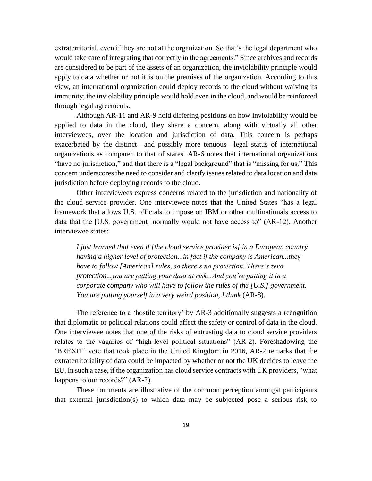extraterritorial, even if they are not at the organization. So that's the legal department who would take care of integrating that correctly in the agreements." Since archives and records are considered to be part of the assets of an organization, the inviolability principle would apply to data whether or not it is on the premises of the organization. According to this view, an international organization could deploy records to the cloud without waiving its immunity; the inviolability principle would hold even in the cloud, and would be reinforced through legal agreements.

Although AR-11 and AR-9 hold differing positions on how inviolability would be applied to data in the cloud, they share a concern, along with virtually all other interviewees, over the location and jurisdiction of data. This concern is perhaps exacerbated by the distinct—and possibly more tenuous—legal status of international organizations as compared to that of states. AR-6 notes that international organizations "have no jurisdiction," and that there is a "legal background" that is "missing for us." This concern underscores the need to consider and clarify issues related to data location and data jurisdiction before deploying records to the cloud.

Other interviewees express concerns related to the jurisdiction and nationality of the cloud service provider. One interviewee notes that the United States "has a legal framework that allows U.S. officials to impose on IBM or other multinationals access to data that the [U.S. government] normally would not have access to" (AR-12). Another interviewee states:

*I just learned that even if [the cloud service provider is] in a European country having a higher level of protection...in fact if the company is American...they have to follow [American] rules, so there's no protection. There's zero protection...you are putting your data at risk...And you're putting it in a corporate company who will have to follow the rules of the [U.S.] government. You are putting yourself in a very weird position, I think (AR-8).* 

The reference to a 'hostile territory' by AR-3 additionally suggests a recognition that diplomatic or political relations could affect the safety or control of data in the cloud. One interviewee notes that one of the risks of entrusting data to cloud service providers relates to the vagaries of "high-level political situations" (AR-2). Foreshadowing the 'BREXIT' vote that took place in the United Kingdom in 2016, AR-2 remarks that the extraterritoriality of data could be impacted by whether or not the UK decides to leave the EU. In such a case, if the organization has cloud service contracts with UK providers, "what happens to our records?" (AR-2).

These comments are illustrative of the common perception amongst participants that external jurisdiction(s) to which data may be subjected pose a serious risk to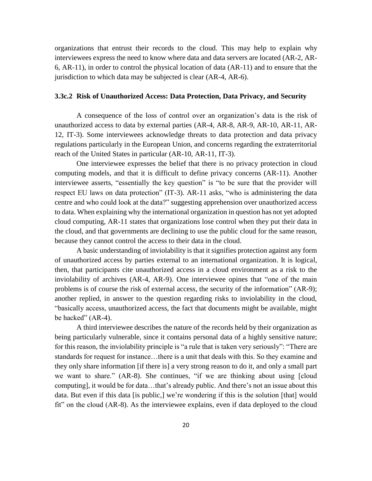organizations that entrust their records to the cloud. This may help to explain why interviewees express the need to know where data and data servers are located (AR-2, AR-6, AR-11), in order to control the physical location of data (AR-11) and to ensure that the jurisdiction to which data may be subjected is clear (AR-4, AR-6).

## **3.3c.2 Risk of Unauthorized Access: Data Protection, Data Privacy, and Security**

A consequence of the loss of control over an organization's data is the risk of unauthorized access to data by external parties (AR-4, AR-8, AR-9, AR-10, AR-11, AR-12, IT-3). Some interviewees acknowledge threats to data protection and data privacy regulations particularly in the European Union, and concerns regarding the extraterritorial reach of the United States in particular (AR-10, AR-11, IT-3).

One interviewee expresses the belief that there is no privacy protection in cloud computing models, and that it is difficult to define privacy concerns (AR-11). Another interviewee asserts, "essentially the key question" is "to be sure that the provider will respect EU laws on data protection" (IT-3). AR-11 asks, "who is administering the data centre and who could look at the data?" suggesting apprehension over unauthorized access to data. When explaining why the international organization in question has not yet adopted cloud computing, AR-11 states that organizations lose control when they put their data in the cloud, and that governments are declining to use the public cloud for the same reason, because they cannot control the access to their data in the cloud.

A basic understanding of inviolability is that it signifies protection against any form of unauthorized access by parties external to an international organization. It is logical, then, that participants cite unauthorized access in a cloud environment as a risk to the inviolability of archives (AR-4, AR-9). One interviewee opines that "one of the main problems is of course the risk of external access, the security of the information" (AR-9); another replied, in answer to the question regarding risks to inviolability in the cloud, "basically access, unauthorized access, the fact that documents might be available, might be hacked" (AR-4).

A third interviewee describes the nature of the records held by their organization as being particularly vulnerable, since it contains personal data of a highly sensitive nature; for this reason, the inviolability principle is "a rule that is taken very seriously": "There are standards for request for instance…there is a unit that deals with this. So they examine and they only share information [if there is] a very strong reason to do it, and only a small part we want to share." (AR-8). She continues, "if we are thinking about using [cloud computing], it would be for data…that's already public. And there's not an issue about this data. But even if this data [is public,] we're wondering if this is the solution [that] would fit" on the cloud (AR-8). As the interviewee explains, even if data deployed to the cloud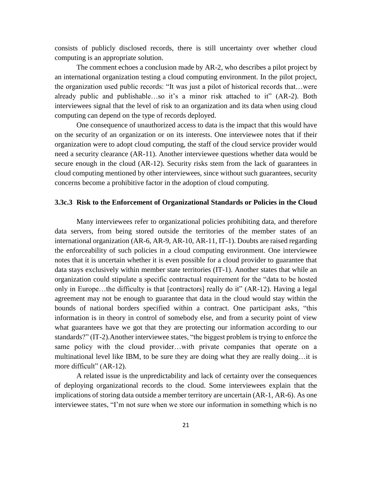consists of publicly disclosed records, there is still uncertainty over whether cloud computing is an appropriate solution.

The comment echoes a conclusion made by AR-2, who describes a pilot project by an international organization testing a cloud computing environment. In the pilot project, the organization used public records: "It was just a pilot of historical records that…were already public and publishable…so it's a minor risk attached to it" (AR-2). Both interviewees signal that the level of risk to an organization and its data when using cloud computing can depend on the type of records deployed.

One consequence of unauthorized access to data is the impact that this would have on the security of an organization or on its interests. One interviewee notes that if their organization were to adopt cloud computing, the staff of the cloud service provider would need a security clearance (AR-11). Another interviewee questions whether data would be secure enough in the cloud (AR-12). Security risks stem from the lack of guarantees in cloud computing mentioned by other interviewees, since without such guarantees, security concerns become a prohibitive factor in the adoption of cloud computing.

#### **3.3c.3 Risk to the Enforcement of Organizational Standards or Policies in the Cloud**

Many interviewees refer to organizational policies prohibiting data, and therefore data servers, from being stored outside the territories of the member states of an international organization (AR-6, AR-9, AR-10, AR-11, IT-1). Doubts are raised regarding the enforceability of such policies in a cloud computing environment. One interviewee notes that it is uncertain whether it is even possible for a cloud provider to guarantee that data stays exclusively within member state territories (IT-1). Another states that while an organization could stipulate a specific contractual requirement for the "data to be hosted only in Europe…the difficulty is that [contractors] really do it" (AR-12). Having a legal agreement may not be enough to guarantee that data in the cloud would stay within the bounds of national borders specified within a contract. One participant asks, "this information is in theory in control of somebody else, and from a security point of view what guarantees have we got that they are protecting our information according to our standards?" (IT-2).Another interviewee states, "the biggest problem is trying to enforce the same policy with the cloud provider…with private companies that operate on a multinational level like IBM, to be sure they are doing what they are really doing…it is more difficult" (AR-12).

A related issue is the unpredictability and lack of certainty over the consequences of deploying organizational records to the cloud. Some interviewees explain that the implications of storing data outside a member territory are uncertain (AR-1, AR-6). As one interviewee states, "I'm not sure when we store our information in something which is no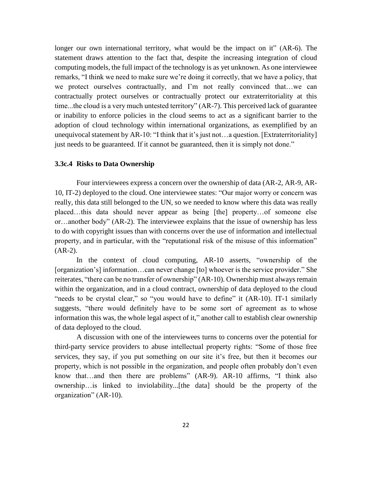longer our own international territory, what would be the impact on it" (AR-6). The statement draws attention to the fact that, despite the increasing integration of cloud computing models, the full impact of the technology is as yet unknown. As one interviewee remarks, "I think we need to make sure we're doing it correctly, that we have a policy, that we protect ourselves contractually, and I'm not really convinced that…we can contractually protect ourselves or contractually protect our extraterritoriality at this time...the cloud is a very much untested territory" (AR-7). This perceived lack of guarantee or inability to enforce policies in the cloud seems to act as a significant barrier to the adoption of cloud technology within international organizations, as exemplified by an unequivocal statement by AR-10: "I think that it's just not…a question. [Extraterritoriality] just needs to be guaranteed. If it cannot be guaranteed, then it is simply not done."

## **3.3c.4 Risks to Data Ownership**

Four interviewees express a concern over the ownership of data (AR-2, AR-9, AR-10, IT-2) deployed to the cloud. One interviewee states: "Our major worry or concern was really, this data still belonged to the UN, so we needed to know where this data was really placed…this data should never appear as being [the] property…of someone else or…another body" (AR-2). The interviewee explains that the issue of ownership has less to do with copyright issues than with concerns over the use of information and intellectual property, and in particular, with the "reputational risk of the misuse of this information"  $(AR-2)$ .

In the context of cloud computing, AR-10 asserts, "ownership of the [organization's] information…can never change [to] whoever is the service provider." She reiterates, "there can be no transfer of ownership" (AR-10). Ownership must always remain within the organization, and in a cloud contract, ownership of data deployed to the cloud "needs to be crystal clear," so "you would have to define" it (AR-10). IT-1 similarly suggests, "there would definitely have to be some sort of agreement as to whose information this was, the whole legal aspect of it," another call to establish clear ownership of data deployed to the cloud.

A discussion with one of the interviewees turns to concerns over the potential for third-party service providers to abuse intellectual property rights: "Some of those free services, they say, if you put something on our site it's free, but then it becomes our property, which is not possible in the organization, and people often probably don't even know that…and then there are problems" (AR-9). AR-10 affirms, "I think also ownership…is linked to inviolability...[the data] should be the property of the organization" (AR-10).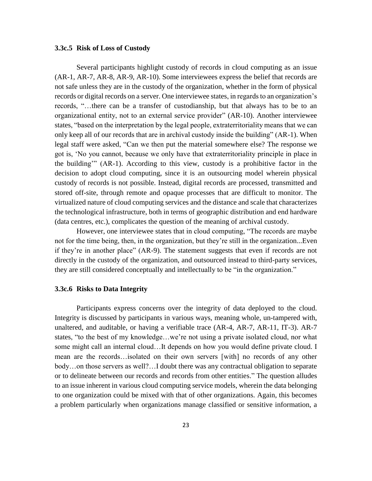## **3.3c.5 Risk of Loss of Custody**

Several participants highlight custody of records in cloud computing as an issue (AR-1, AR-7, AR-8, AR-9, AR-10). Some interviewees express the belief that records are not safe unless they are in the custody of the organization, whether in the form of physical records or digital records on a server. One interviewee states, in regards to an organization's records, "…there can be a transfer of custodianship, but that always has to be to an organizational entity, not to an external service provider" (AR-10). Another interviewee states, "based on the interpretation by the legal people, extraterritoriality means that we can only keep all of our records that are in archival custody inside the building" (AR-1). When legal staff were asked, "Can we then put the material somewhere else? The response we got is, 'No you cannot, because we only have that extraterritoriality principle in place in the building'" (AR-1). According to this view, custody is a prohibitive factor in the decision to adopt cloud computing, since it is an outsourcing model wherein physical custody of records is not possible. Instead, digital records are processed, transmitted and stored off-site, through remote and opaque processes that are difficult to monitor. The virtualized nature of cloud computing services and the distance and scale that characterizes the technological infrastructure, both in terms of geographic distribution and end hardware (data centres, etc.), complicates the question of the meaning of archival custody.

However, one interviewee states that in cloud computing, "The records are maybe not for the time being, then, in the organization, but they're still in the organization...Even if they're in another place" (AR-9). The statement suggests that even if records are not directly in the custody of the organization, and outsourced instead to third-party services, they are still considered conceptually and intellectually to be "in the organization."

## **3.3c.6 Risks to Data Integrity**

Participants express concerns over the integrity of data deployed to the cloud. Integrity is discussed by participants in various ways, meaning whole, un-tampered with, unaltered, and auditable, or having a verifiable trace (AR-4, AR-7, AR-11, IT-3). AR-7 states, "to the best of my knowledge…we're not using a private isolated cloud, nor what some might call an internal cloud…It depends on how you would define private cloud. I mean are the records…isolated on their own servers [with] no records of any other body…on those servers as well?…I doubt there was any contractual obligation to separate or to delineate between our records and records from other entities." The question alludes to an issue inherent in various cloud computing service models, wherein the data belonging to one organization could be mixed with that of other organizations. Again, this becomes a problem particularly when organizations manage classified or sensitive information, a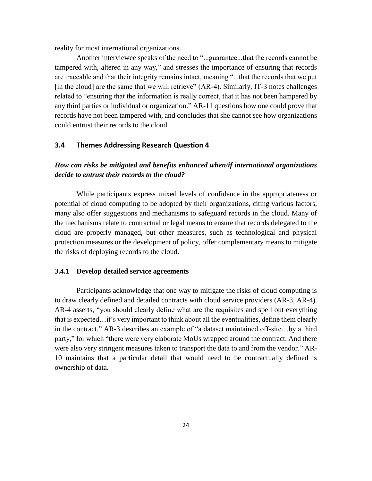reality for most international organizations.

Another interviewee speaks of the need to "...guarantee...that the records cannot be tampered with, altered in any way," and stresses the importance of ensuring that records are traceable and that their integrity remains intact, meaning "...that the records that we put [in the cloud] are the same that we will retrieve" (AR-4). Similarly, IT-3 notes challenges related to "ensuring that the information is really correct, that it has not been hampered by any third parties or individual or organization." AR-11 questions how one could prove that records have not been tampered with, and concludes that she cannot see how organizations could entrust their records to the cloud.

## **3.4 Themes Addressing Research Question 4**

## *How can risks be mitigated and benefits enhanced when/if international organizations decide to entrust their records to the cloud?*

While participants express mixed levels of confidence in the appropriateness or potential of cloud computing to be adopted by their organizations, citing various factors, many also offer suggestions and mechanisms to safeguard records in the cloud. Many of the mechanisms relate to contractual or legal means to ensure that records delegated to the cloud are properly managed, but other measures, such as technological and physical protection measures or the development of policy, offer complementary means to mitigate the risks of deploying records to the cloud.

#### **3.4.1 Develop detailed service agreements**

Participants acknowledge that one way to mitigate the risks of cloud computing is to draw clearly defined and detailed contracts with cloud service providers (AR-3, AR-4). AR-4 asserts, "you should clearly define what are the requisites and spell out everything that is expected…it's very important to think about all the eventualities, define them clearly in the contract." AR-3 describes an example of "a dataset maintained off-site…by a third party," for which "there were very elaborate MoUs wrapped around the contract. And there were also very stringent measures taken to transport the data to and from the vendor." AR-10 maintains that a particular detail that would need to be contractually defined is ownership of data.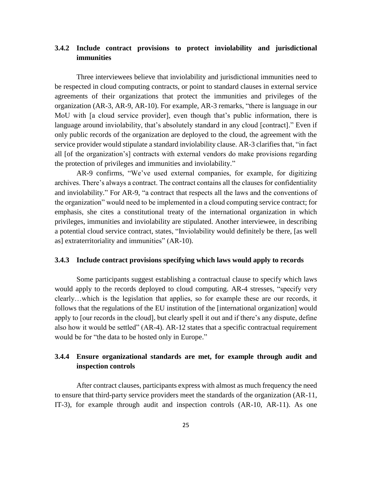## **3.4.2 Include contract provisions to protect inviolability and jurisdictional immunities**

Three interviewees believe that inviolability and jurisdictional immunities need to be respected in cloud computing contracts, or point to standard clauses in external service agreements of their organizations that protect the immunities and privileges of the organization (AR-3, AR-9, AR-10). For example, AR-3 remarks, "there is language in our MoU with [a cloud service provider], even though that's public information, there is language around inviolability, that's absolutely standard in any cloud [contract]." Even if only public records of the organization are deployed to the cloud, the agreement with the service provider would stipulate a standard inviolability clause. AR-3 clarifies that, "in fact all [of the organization's] contracts with external vendors do make provisions regarding the protection of privileges and immunities and inviolability."

AR-9 confirms, "We've used external companies, for example, for digitizing archives. There's always a contract. The contract contains all the clauses for confidentiality and inviolability." For AR-9, "a contract that respects all the laws and the conventions of the organization" would need to be implemented in a cloud computing service contract; for emphasis, she cites a constitutional treaty of the international organization in which privileges, immunities and inviolability are stipulated. Another interviewee, in describing a potential cloud service contract, states, "Inviolability would definitely be there, [as well as] extraterritoriality and immunities" (AR-10).

#### **3.4.3 Include contract provisions specifying which laws would apply to records**

Some participants suggest establishing a contractual clause to specify which laws would apply to the records deployed to cloud computing. AR-4 stresses, "specify very clearly…which is the legislation that applies, so for example these are our records, it follows that the regulations of the EU institution of the [international organization] would apply to [our records in the cloud], but clearly spell it out and if there's any dispute, define also how it would be settled" (AR-4). AR-12 states that a specific contractual requirement would be for "the data to be hosted only in Europe."

## **3.4.4 Ensure organizational standards are met, for example through audit and inspection controls**

After contract clauses, participants express with almost as much frequency the need to ensure that third-party service providers meet the standards of the organization (AR-11, IT-3), for example through audit and inspection controls (AR-10, AR-11). As one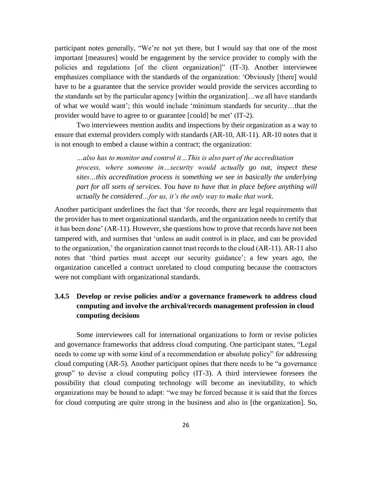participant notes generally, "We're not yet there, but I would say that one of the most important [measures] would be engagement by the service provider to comply with the policies and regulations [of the client organization]" (IT-3). Another interviewee emphasizes compliance with the standards of the organization: 'Obviously [there] would have to be a guarantee that the service provider would provide the services according to the standards set by the particular agency [within the organization]…we all have standards of what we would want'; this would include 'minimum standards for security…that the provider would have to agree to or guarantee [could] be met' (IT-2).

Two interviewees mention audits and inspections by their organization as a way to ensure that external providers comply with standards (AR-10, AR-11). AR-10 notes that it is not enough to embed a clause within a contract; the organization:

*…also has to monitor and control it…This is also part of the accreditation process, where someone in…security would actually go out, inspect these sites…this accreditation process is something we see in basically the underlying part for all sorts of services. You have to have that in place before anything will actually be considered…for us, it's the only way to make that work*.

Another participant underlines the fact that 'for records, there are legal requirements that the provider has to meet organizational standards, and the organization needs to certify that it has been done' (AR-11). However, she questions how to prove that records have not been tampered with, and surmises that 'unless an audit control is in place, and can be provided to the organization,' the organization cannot trust records to the cloud (AR-11). AR-11 also notes that 'third parties must accept our security guidance'; a few years ago, the organization cancelled a contract unrelated to cloud computing because the contractors were not compliant with organizational standards.

## **3.4.5 Develop or revise policies and/or a governance framework to address cloud computing and involve the archival/records management profession in cloud computing decisions**

Some interviewees call for international organizations to form or revise policies and governance frameworks that address cloud computing. One participant states, "Legal needs to come up with some kind of a recommendation or absolute policy" for addressing cloud computing (AR-5). Another participant opines that there needs to be "a governance group" to devise a cloud computing policy (IT-3). A third interviewee foresees the possibility that cloud computing technology will become an inevitability, to which organizations may be bound to adapt: "we may be forced because it is said that the forces for cloud computing are quite strong in the business and also in [the organization]. So,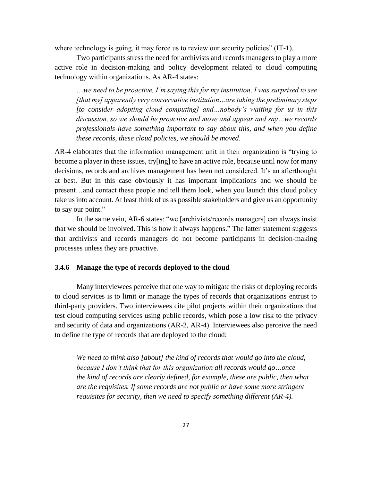where technology is going, it may force us to review our security policies" (IT-1).

Two participants stress the need for archivists and records managers to play a more active role in decision-making and policy development related to cloud computing technology within organizations. As AR-4 states:

…*we need to be proactive, I'm saying this for my institution, I was surprised to see [that my] apparently very conservative institution…are taking the preliminary steps [to consider adopting cloud computing] and…nobody's waiting for us in this discussion, so we should be proactive and move and appear and say…we records professionals have something important to say about this, and when you define these records, these cloud policies, we should be moved*.

AR-4 elaborates that the information management unit in their organization is "trying to become a player in these issues, try[ing] to have an active role, because until now for many decisions, records and archives management has been not considered. It's an afterthought at best. But in this case obviously it has important implications and we should be present…and contact these people and tell them look, when you launch this cloud policy take us into account. At least think of us as possible stakeholders and give us an opportunity to say our point."

In the same vein, AR-6 states: "we [archivists/records managers] can always insist that we should be involved. This is how it always happens." The latter statement suggests that archivists and records managers do not become participants in decision-making processes unless they are proactive.

## **3.4.6 Manage the type of records deployed to the cloud**

Many interviewees perceive that one way to mitigate the risks of deploying records to cloud services is to limit or manage the types of records that organizations entrust to third-party providers. Two interviewees cite pilot projects within their organizations that test cloud computing services using public records, which pose a low risk to the privacy and security of data and organizations (AR-2, AR-4). Interviewees also perceive the need to define the type of records that are deployed to the cloud:

*We need to think also [about] the kind of records that would go into the cloud, because I don't think that for this organization all records would go…once the kind of records are clearly defined, for example, these are public, then what are the requisites. If some records are not public or have some more stringent requisites for security, then we need to specify something different (AR-4).*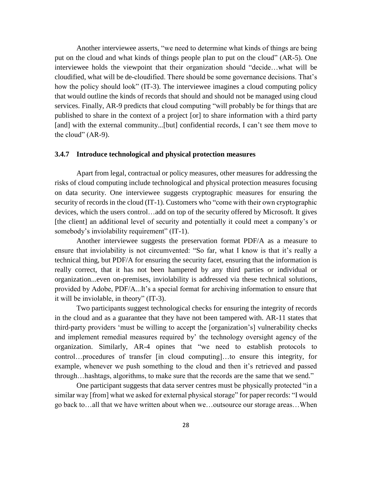Another interviewee asserts, "we need to determine what kinds of things are being put on the cloud and what kinds of things people plan to put on the cloud" (AR-5). One interviewee holds the viewpoint that their organization should "decide…what will be cloudified, what will be de-cloudified. There should be some governance decisions. That's how the policy should look" (IT-3). The interviewee imagines a cloud computing policy that would outline the kinds of records that should and should not be managed using cloud services. Finally, AR-9 predicts that cloud computing "will probably be for things that are published to share in the context of a project [or] to share information with a third party [and] with the external community...[but] confidential records, I can't see them move to the cloud" (AR-9).

#### **3.4.7 Introduce technological and physical protection measures**

Apart from legal, contractual or policy measures, other measures for addressing the risks of cloud computing include technological and physical protection measures focusing on data security. One interviewee suggests cryptographic measures for ensuring the security of records in the cloud (IT-1). Customers who "come with their own cryptographic devices, which the users control…add on top of the security offered by Microsoft. It gives [the client] an additional level of security and potentially it could meet a company's or somebody's inviolability requirement" (IT-1).

Another interviewee suggests the preservation format PDF/A as a measure to ensure that inviolability is not circumvented: "So far, what I know is that it's really a technical thing, but PDF/A for ensuring the security facet, ensuring that the information is really correct, that it has not been hampered by any third parties or individual or organization...even on-premises, inviolability is addressed via these technical solutions, provided by Adobe, PDF/A...It's a special format for archiving information to ensure that it will be inviolable, in theory" (IT-3).

Two participants suggest technological checks for ensuring the integrity of records in the cloud and as a guarantee that they have not been tampered with. AR-11 states that third-party providers 'must be willing to accept the [organization's] vulnerability checks and implement remedial measures required by' the technology oversight agency of the organization. Similarly, AR-4 opines that "we need to establish protocols to control…procedures of transfer [in cloud computing]…to ensure this integrity, for example, whenever we push something to the cloud and then it's retrieved and passed through…hashtags, algorithms, to make sure that the records are the same that we send."

One participant suggests that data server centres must be physically protected "in a similar way [from] what we asked for external physical storage" for paper records: "I would go back to…all that we have written about when we…outsource our storage areas…When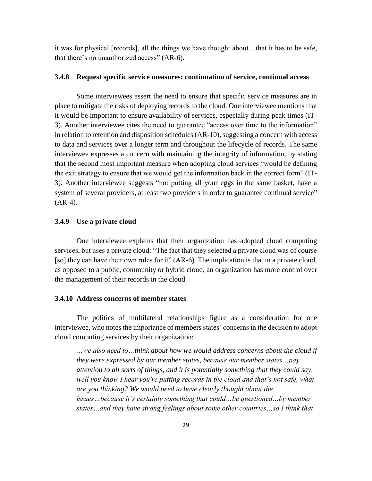it was for physical [records], all the things we have thought about…that it has to be safe, that there's no unauthorized access" (AR-6).

#### **3.4.8 Request specific service measures: continuation of service, continual access**

Some interviewees assert the need to ensure that specific service measures are in place to mitigate the risks of deploying records to the cloud. One interviewee mentions that it would be important to ensure availability of services, especially during peak times (IT-3). Another interviewee cites the need to guarantee "access over time to the information" in relation to retention and disposition schedules (AR-10), suggesting a concern with access to data and services over a longer term and throughout the lifecycle of records. The same interviewee expresses a concern with maintaining the integrity of information, by stating that the second most important measure when adopting cloud services "would be defining the exit strategy to ensure that we would get the information back in the correct form" (IT-3). Another interviewee suggests "not putting all your eggs in the same basket, have a system of several providers, at least two providers in order to guarantee continual service"  $(AR-4)$ .

## **3.4.9 Use a private cloud**

One interviewee explains that their organization has adopted cloud computing services, but uses a private cloud: "The fact that they selected a private cloud was of course [so] they can have their own rules for it" (AR-6). The implication is that in a private cloud, as opposed to a public, community or hybrid cloud, an organization has more control over the management of their records in the cloud.

## **3.4.10 Address concerns of member states**

The politics of multilateral relationships figure as a consideration for one interviewee, who notes the importance of members states' concerns in the decision to adopt cloud computing services by their organization:

*…we also need to…think about how we would address concerns about the cloud if they were expressed by our member states, because our member states…pay attention to all sorts of things, and it is potentially something that they could say, well you know I hear you're putting records in the cloud and that's not safe, what are you thinking? We would need to have clearly thought about the issues…because it's certainly something that could…be questioned…by member states…and they have strong feelings about some other countries…so I think that*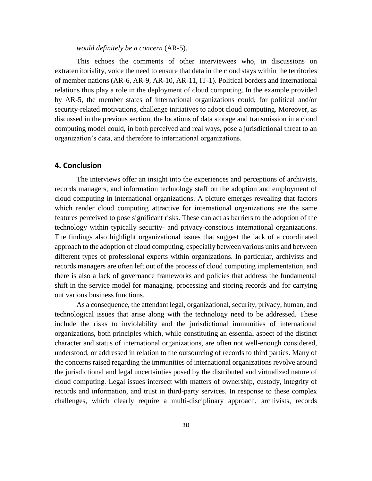*would definitely be a concern* (AR-5).

This echoes the comments of other interviewees who, in discussions on extraterritoriality, voice the need to ensure that data in the cloud stays within the territories of member nations (AR-6, AR-9, AR-10, AR-11, IT-1). Political borders and international relations thus play a role in the deployment of cloud computing. In the example provided by AR-5, the member states of international organizations could, for political and/or security-related motivations, challenge initiatives to adopt cloud computing. Moreover, as discussed in the previous section, the locations of data storage and transmission in a cloud computing model could, in both perceived and real ways, pose a jurisdictional threat to an organization's data, and therefore to international organizations.

## **4. Conclusion**

The interviews offer an insight into the experiences and perceptions of archivists, records managers, and information technology staff on the adoption and employment of cloud computing in international organizations. A picture emerges revealing that factors which render cloud computing attractive for international organizations are the same features perceived to pose significant risks. These can act as barriers to the adoption of the technology within typically security- and privacy-conscious international organizations. The findings also highlight organizational issues that suggest the lack of a coordinated approach to the adoption of cloud computing, especially between various units and between different types of professional experts within organizations. In particular, archivists and records managers are often left out of the process of cloud computing implementation, and there is also a lack of governance frameworks and policies that address the fundamental shift in the service model for managing, processing and storing records and for carrying out various business functions.

As a consequence, the attendant legal, organizational, security, privacy, human, and technological issues that arise along with the technology need to be addressed. These include the risks to inviolability and the jurisdictional immunities of international organizations, both principles which, while constituting an essential aspect of the distinct character and status of international organizations, are often not well-enough considered, understood, or addressed in relation to the outsourcing of records to third parties. Many of the concerns raised regarding the immunities of international organizations revolve around the jurisdictional and legal uncertainties posed by the distributed and virtualized nature of cloud computing. Legal issues intersect with matters of ownership, custody, integrity of records and information, and trust in third-party services. In response to these complex challenges, which clearly require a multi-disciplinary approach, archivists, records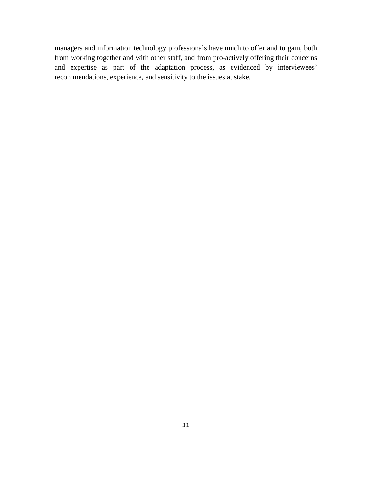managers and information technology professionals have much to offer and to gain, both from working together and with other staff, and from pro-actively offering their concerns and expertise as part of the adaptation process, as evidenced by interviewees' recommendations, experience, and sensitivity to the issues at stake.